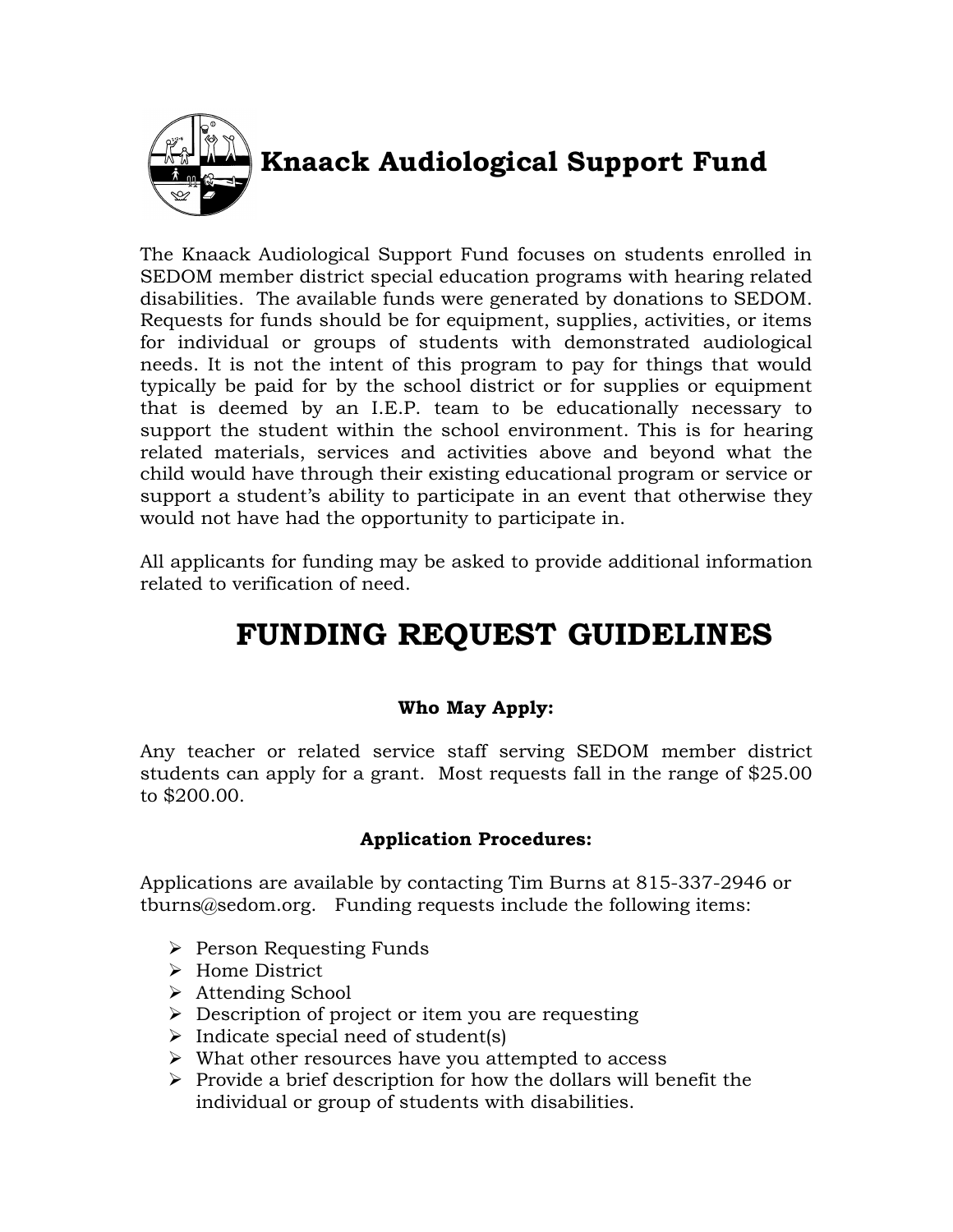

## **Knaack Audiological Support Fund**

The Knaack Audiological Support Fund focuses on students enrolled in SEDOM member district special education programs with hearing related disabilities. The available funds were generated by donations to SEDOM. Requests for funds should be for equipment, supplies, activities, or items for individual or groups of students with demonstrated audiological needs. It is not the intent of this program to pay for things that would typically be paid for by the school district or for supplies or equipment that is deemed by an I.E.P. team to be educationally necessary to support the student within the school environment. This is for hearing related materials, services and activities above and beyond what the child would have through their existing educational program or service or support a student's ability to participate in an event that otherwise they would not have had the opportunity to participate in.

All applicants for funding may be asked to provide additional information related to verification of need.

# **FUNDING REQUEST GUIDELINES**

## **Who May Apply:**

Any teacher or related service staff serving SEDOM member district students can apply for a grant. Most requests fall in the range of \$25.00 to \$200.00.

### **Application Procedures:**

Applications are available by contacting Tim Burns at 815-337-2946 or tburns@sedom.org. Funding requests include the following items:

- $\triangleright$  Person Requesting Funds
- > Home District
- Attending School
- $\triangleright$  Description of project or item you are requesting
- $\triangleright$  Indicate special need of student(s)
- $\triangleright$  What other resources have you attempted to access
- $\triangleright$  Provide a brief description for how the dollars will benefit the individual or group of students with disabilities.